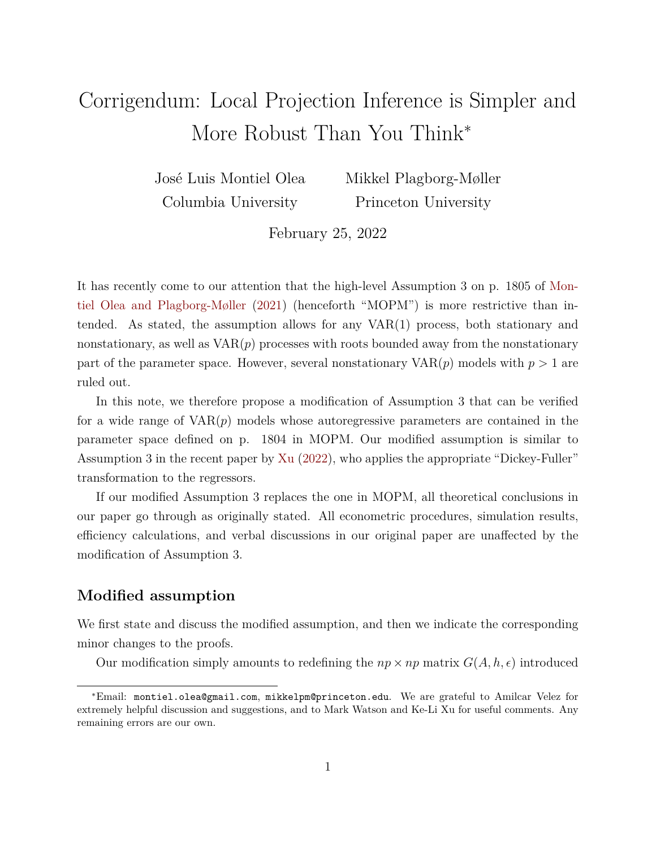## Corrigendum: Local Projection Inference is Simpler and More Robust Than You Think<sup>∗</sup>

José Luis Montiel Olea Columbia University

Mikkel Plagborg-Møller Princeton University

February 25, 2022

It has recently come to our attention that the high-level Assumption 3 on p. 1805 of [Mon](#page-4-0)[tiel Olea and Plagborg-Møller](#page-4-0) [\(2021\)](#page-4-0) (henceforth "MOPM") is more restrictive than intended. As stated, the assumption allows for any VAR(1) process, both stationary and nonstationary, as well as  $VAR(p)$  processes with roots bounded away from the nonstationary part of the parameter space. However, several nonstationary  $VAR(p)$  models with  $p > 1$  are ruled out.

In this note, we therefore propose a modification of Assumption 3 that can be verified for a wide range of VAR(*p*) models whose autoregressive parameters are contained in the parameter space defined on p. 1804 in MOPM. Our modified assumption is similar to Assumption 3 in the recent paper by [Xu](#page-4-1) [\(2022\)](#page-4-1), who applies the appropriate "Dickey-Fuller" transformation to the regressors.

If our modified Assumption 3 replaces the one in MOPM, all theoretical conclusions in our paper go through as originally stated. All econometric procedures, simulation results, efficiency calculations, and verbal discussions in our original paper are unaffected by the modification of Assumption 3.

## **Modified assumption**

We first state and discuss the modified assumption, and then we indicate the corresponding minor changes to the proofs.

Our modification simply amounts to redefining the  $np \times np$  matrix  $G(A, h, \epsilon)$  introduced

<sup>∗</sup>Email: montiel.olea@gmail.com, mikkelpm@princeton.edu. We are grateful to Amilcar Velez for extremely helpful discussion and suggestions, and to Mark Watson and Ke-Li Xu for useful comments. Any remaining errors are our own.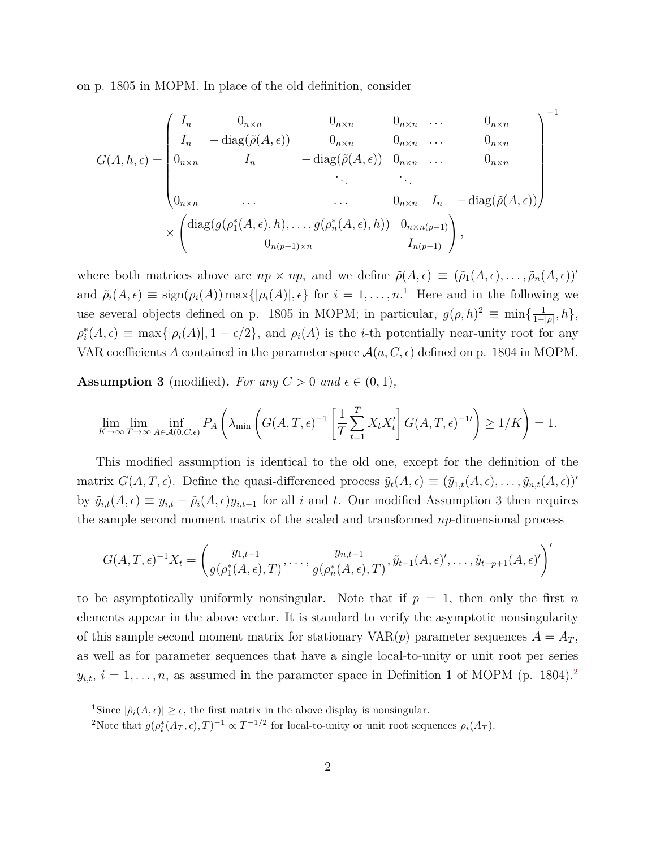on p. 1805 in MOPM. In place of the old definition, consider

$$
G(A, h, \epsilon) = \begin{pmatrix} I_n & 0_{n \times n} & 0_{n \times n} & 0_{n \times n} & \cdots & 0_{n \times n} \\ I_n & -\operatorname{diag}(\tilde{\rho}(A, \epsilon)) & 0_{n \times n} & 0_{n \times n} & \cdots & 0_{n \times n} \\ 0_{n \times n} & I_n & -\operatorname{diag}(\tilde{\rho}(A, \epsilon)) & 0_{n \times n} & \cdots & 0_{n \times n} \\ \vdots & \vdots & \ddots & \vdots & \ddots & \vdots \\ 0_{n \times n} & \cdots & \cdots & 0_{n \times n} & I_n & -\operatorname{diag}(\tilde{\rho}(A, \epsilon)) \end{pmatrix}^{-1}
$$

$$
\times \begin{pmatrix} \operatorname{diag}(g(\rho_1^*(A, \epsilon), h), \ldots, g(\rho_n^*(A, \epsilon), h)) & 0_{n \times n(p-1)} \\ 0_{n(p-1) \times n} & I_{n(p-1)} \end{pmatrix},
$$

where both matrices above are  $np \times np$ , and we define  $\tilde{\rho}(A, \epsilon) \equiv (\tilde{\rho}_1(A, \epsilon), \ldots, \tilde{\rho}_n(A, \epsilon))'$ and  $\tilde{\rho}_i(A, \epsilon) \equiv \text{sign}(\rho_i(A)) \max\{|\rho_i(A)|, \epsilon\}$  for  $i = 1, \ldots, n$  $i = 1, \ldots, n$  $i = 1, \ldots, n$ <sup>1</sup>. Here and in the following we use several objects defined on p. 1805 in MOPM; in particular,  $g(\rho, h)^2 \equiv \min\{\frac{1}{1-\rho}\}$  $\frac{1}{1-|\rho|},h\},\$  $\rho_i^*(A, \epsilon) \equiv \max\{|\rho_i(A)|, 1 - \epsilon/2\}$ , and  $\rho_i(A)$  is the *i*-th potentially near-unity root for any VAR coefficients A contained in the parameter space  $\mathcal{A}(a, C, \epsilon)$  defined on p. 1804 in MOPM.

**Assumption 3** (modified). For any  $C > 0$  and  $\epsilon \in (0, 1)$ ,

$$
\lim_{K \to \infty} \lim_{T \to \infty} \inf_{A \in \mathcal{A}(0, C, \epsilon)} P_A \left( \lambda_{\min} \left( G(A, T, \epsilon)^{-1} \left[ \frac{1}{T} \sum_{t=1}^T X_t X_t' \right] G(A, T, \epsilon)^{-1} \right) \ge 1/K \right) = 1.
$$

This modified assumption is identical to the old one, except for the definition of the matrix  $G(A, T, \epsilon)$ . Define the quasi-differenced process  $\tilde{y}_t(A, \epsilon) \equiv (\tilde{y}_{1,t}(A, \epsilon), \ldots, \tilde{y}_{n,t}(A, \epsilon))'$ by  $\tilde{y}_{i,t}(A, \epsilon) \equiv y_{i,t} - \tilde{\rho}_i(A, \epsilon)y_{i,t-1}$  for all *i* and *t*. Our modified Assumption 3 then requires the sample second moment matrix of the scaled and transformed *np*-dimensional process

$$
G(A,T,\epsilon)^{-1}X_t = \left(\frac{y_{1,t-1}}{g(\rho_1^*(A,\epsilon),T)},\ldots,\frac{y_{n,t-1}}{g(\rho_n^*(A,\epsilon),T)},\tilde{y}_{t-1}(A,\epsilon)',\ldots,\tilde{y}_{t-p+1}(A,\epsilon)'\right)'
$$

to be asymptotically uniformly nonsingular. Note that if  $p = 1$ , then only the first *n* elements appear in the above vector. It is standard to verify the asymptotic nonsingularity of this sample second moment matrix for stationary  $VAR(p)$  parameter sequences  $A = A_T$ , as well as for parameter sequences that have a single local-to-unity or unit root per series  $y_{i,t}$ ,  $i = 1, \ldots, n$ , as assumed in the parameter space in Definition 1 of MOPM (p. 1804).<sup>[2](#page-1-1)</sup>

<span id="page-1-0"></span><sup>&</sup>lt;sup>1</sup>Since  $|\tilde{\rho}_i(A, \epsilon)| \geq \epsilon$ , the first matrix in the above display is nonsingular.

<span id="page-1-1"></span><sup>&</sup>lt;sup>2</sup>Note that  $g(\rho_i^*(A_T, \epsilon), T)^{-1} \propto T^{-1/2}$  for local-to-unity or unit root sequences  $\rho_i(A_T)$ .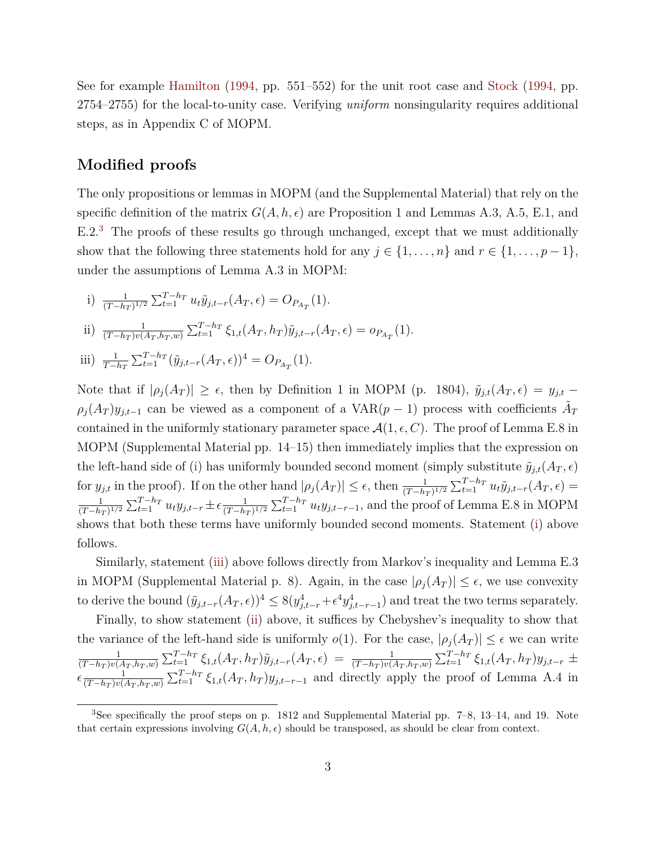See for example [Hamilton](#page-4-2) [\(1994,](#page-4-2) pp. 551–552) for the unit root case and [Stock](#page-4-3) [\(1994,](#page-4-3) pp. 2754–2755) for the local-to-unity case. Verifying *uniform* nonsingularity requires additional steps, as in Appendix C of MOPM.

## **Modified proofs**

The only propositions or lemmas in MOPM (and the Supplemental Material) that rely on the specific definition of the matrix  $G(A, h, \epsilon)$  are Proposition 1 and Lemmas A.3, A.5, E.1, and E.2.[3](#page-2-0) The proofs of these results go through unchanged, except that we must additionally show that the following three statements hold for any  $j \in \{1, ..., n\}$  and  $r \in \{1, ..., p-1\}$ , under the assumptions of Lemma A.3 in MOPM:

<span id="page-2-3"></span><span id="page-2-1"></span>i) 
$$
\frac{1}{(T-h_T)^{1/2}} \sum_{t=1}^{T-h_T} u_t \tilde{y}_{j,t-r}(A_T, \epsilon) = O_{P_{A_T}}(1).
$$
  
\nii) 
$$
\frac{1}{(T-h_T)v(A_T, h_T, w)} \sum_{t=1}^{T-h_T} \xi_{1,t}(A_T, h_T) \tilde{y}_{j,t-r}(A_T, \epsilon) = o_{P_{A_T}}(1).
$$
  
\niii) 
$$
\frac{1}{T-h_T} \sum_{t=1}^{T-h_T} (\tilde{y}_{j,t-r}(A_T, \epsilon))^4 = O_{P_{A_T}}(1).
$$

<span id="page-2-2"></span>Note that if  $|\rho_j(A_T)| \geq \epsilon$ , then by Definition 1 in MOPM (p. 1804),  $\tilde{y}_{j,t}(A_T,\epsilon) = y_{j,t}$  $\rho_j(A_T)y_{j,t-1}$  can be viewed as a component of a VAR(*p* − 1) process with coefficients  $\tilde{A}_T$ contained in the uniformly stationary parameter space  $\mathcal{A}(1,\epsilon,C)$ . The proof of Lemma E.8 in MOPM (Supplemental Material pp. 14–15) then immediately implies that the expression on the left-hand side of [\(i\)](#page-2-1) has uniformly bounded second moment (simply substitute  $\tilde{y}_{i,t}(A_T,\epsilon)$ for  $y_{j,t}$  in the proof). If on the other hand  $|\rho_j(A_T)| \leq \epsilon$ , then  $\frac{1}{(T-h_T)^{1/2}} \sum_{t=1}^{T-h_T} u_t \tilde{y}_{j,t-r}(A_T,\epsilon)$ 1  $\frac{1}{(T-h_T)^{1/2}}\sum_{t=1}^{T-h_T} u_t y_{j,t-r} \pm \epsilon \frac{1}{(T-h_T)^{1/2}}$  $\frac{1}{(T-h_T)^{1/2}}\sum_{t=1}^{T-h_T} u_t y_{j,t-r-1}$ , and the proof of Lemma E.8 in MOPM shows that both these terms have uniformly bounded second moments. Statement [\(i\)](#page-2-1) above follows.

Similarly, statement [\(iii\)](#page-2-2) above follows directly from Markov's inequality and Lemma E.3 in MOPM (Supplemental Material p. 8). Again, in the case  $|\rho_j(A_T)| \leq \epsilon$ , we use convexity to derive the bound  $(\tilde{y}_{j,t-r}(A_T,\epsilon))^4 \leq 8(y_{j,t-r}^4 + \epsilon^4 y_{j,t-r-1}^4)$  and treat the two terms separately.

Finally, to show statement [\(ii\)](#page-2-3) above, it suffices by Chebyshev's inequality to show that the variance of the left-hand side is uniformly  $o(1)$ . For the case,  $|\rho_i(A_T)| \leq \epsilon$  we can write 1  $\tfrac{1}{(T-h_T)v(A_T,h_T,w)}\sum_{t=1}^{T-h_T} \xi_{1,t}(A_T,h_T) \tilde{y}_{j,t-r}(A_T,\epsilon) = \tfrac{1}{(T-h_T)v(A_T,h_T,w)}\sum_{t=1}^{T-h_T} \xi_{1,t}(A_T,h_T) y_{j,t-r} \pm$  $\epsilon \frac{1}{(T-hx)y}$  $\frac{1}{(T-h_T)v(A_T,h_T,w)}\sum_{t=1}^{T-h_T}\xi_{1,t}(A_T,h_T)y_{j,t-r-1}$  and directly apply the proof of Lemma A.4 in

<span id="page-2-0"></span><sup>3</sup>See specifically the proof steps on p. 1812 and Supplemental Material pp. 7–8, 13–14, and 19. Note that certain expressions involving  $G(A, h, \epsilon)$  should be transposed, as should be clear from context.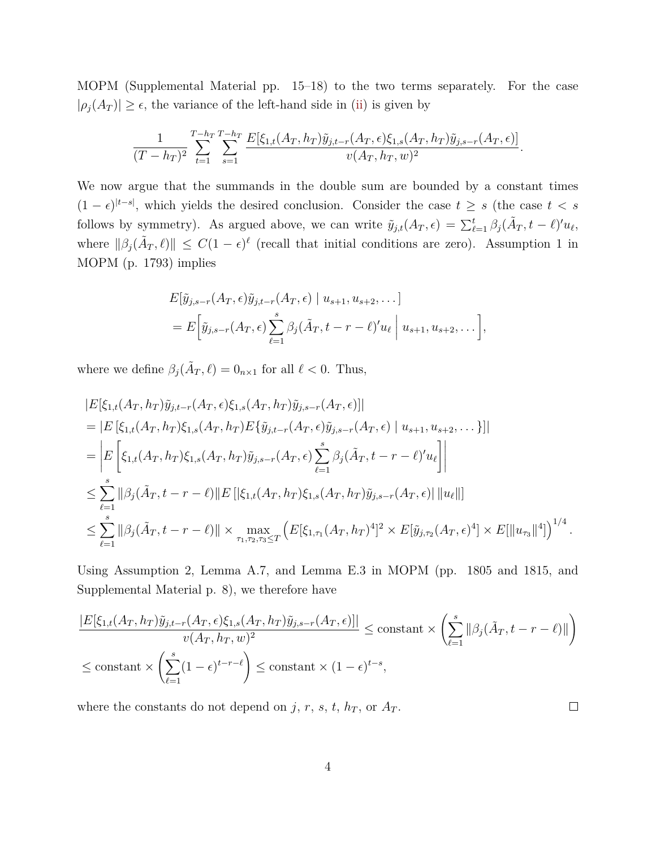MOPM (Supplemental Material pp. 15–18) to the two terms separately. For the case  $|\rho_j(A_T)| \geq \epsilon$ , the variance of the left-hand side in [\(ii\)](#page-2-3) is given by

$$
\frac{1}{(T-h_T)^2} \sum_{t=1}^{T-h_T} \sum_{s=1}^{T-h_T} \frac{E[\xi_{1,t}(A_T,h_T)\tilde{y}_{j,t-r}(A_T,\epsilon)\xi_{1,s}(A_T,h_T)\tilde{y}_{j,s-r}(A_T,\epsilon)]}{v(A_T,h_T,w)^2}.
$$

We now argue that the summands in the double sum are bounded by a constant times  $(1 - \epsilon)^{|t-s|}$ , which yields the desired conclusion. Consider the case  $t \geq s$  (the case  $t < s$ follows by symmetry). As argued above, we can write  $\tilde{y}_{j,t}(A_T,\epsilon) = \sum_{\ell=1}^t \beta_j(\tilde{A}_T,t-\ell)' u_\ell$ , where  $\|\beta_j(\tilde{A}_T,\ell)\| \leq C(1-\epsilon)^{\ell}$  (recall that initial conditions are zero). Assumption 1 in MOPM (p. 1793) implies

$$
E[\tilde{y}_{j,s-r}(A_T,\epsilon)\tilde{y}_{j,t-r}(A_T,\epsilon) | u_{s+1}, u_{s+2}, \dots]
$$
  
= 
$$
E\Big[\tilde{y}_{j,s-r}(A_T,\epsilon)\sum_{\ell=1}^s \beta_j(\tilde{A}_T,t-r-\ell)'u_\ell | u_{s+1}, u_{s+2}, \dots\Big],
$$

where we define  $\beta_j(\tilde{A}_T, \ell) = 0_{n \times 1}$  for all  $\ell < 0$ . Thus,

$$
|E[\xi_{1,t}(A_T, h_T)\tilde{y}_{j,t-r}(A_T, \epsilon)\xi_{1,s}(A_T, h_T)\tilde{y}_{j,s-r}(A_T, \epsilon)]|
$$
  
\n= |E [\xi\_{1,t}(A\_T, h\_T)\xi\_{1,s}(A\_T, h\_T)E{\tilde{y}\_{j,t-r}(A\_T, \epsilon)\tilde{y}\_{j,s-r}(A\_T, \epsilon) | u\_{s+1}, u\_{s+2}, ...}]|  
\n= |E [\xi\_{1,t}(A\_T, h\_T)\xi\_{1,s}(A\_T, h\_T)\tilde{y}\_{j,s-r}(A\_T, \epsilon) \sum\_{\ell=1}^s \beta\_j(\tilde{A}\_T, t-r-\ell)'u\_{\ell}]|  
\n
$$
\leq \sum_{\ell=1}^s ||\beta_j(\tilde{A}_T, t-r-\ell)||E[|\xi_{1,t}(A_T, h_T)\xi_{1,s}(A_T, h_T)\tilde{y}_{j,s-r}(A_T, \epsilon)||u_{\ell}||]
$$
  
\n
$$
\leq \sum_{\ell=1}^s ||\beta_j(\tilde{A}_T, t-r-\ell)|| \times \max_{\tau_1, \tau_2, \tau_3 \leq T} (E[\xi_{1,\tau_1}(A_T, h_T)^4]^2 \times E[\tilde{y}_{j,\tau_2}(A_T, \epsilon)^4] \times E[||u_{\tau_3}||^4])^{1/4}.
$$

Using Assumption 2, Lemma A.7, and Lemma E.3 in MOPM (pp. 1805 and 1815, and Supplemental Material p. 8), we therefore have

$$
\frac{|E[\xi_{1,t}(A_T, h_T)\tilde{y}_{j,t-r}(A_T, \epsilon)\xi_{1,s}(A_T, h_T)\tilde{y}_{j,s-r}(A_T, \epsilon)]|}{v(A_T, h_T, w)^2} \le \text{constant} \times \left(\sum_{\ell=1}^s \|\beta_j(\tilde{A}_T, t-r-\ell)\|\right)
$$
  

$$
\le \text{constant} \times \left(\sum_{\ell=1}^s (1-\epsilon)^{t-r-\ell}\right) \le \text{constant} \times (1-\epsilon)^{t-s},
$$

where the constants do not depend on  $j$ ,  $r$ ,  $s$ ,  $t$ ,  $h_T$ , or  $A_T$ .

 $\Box$